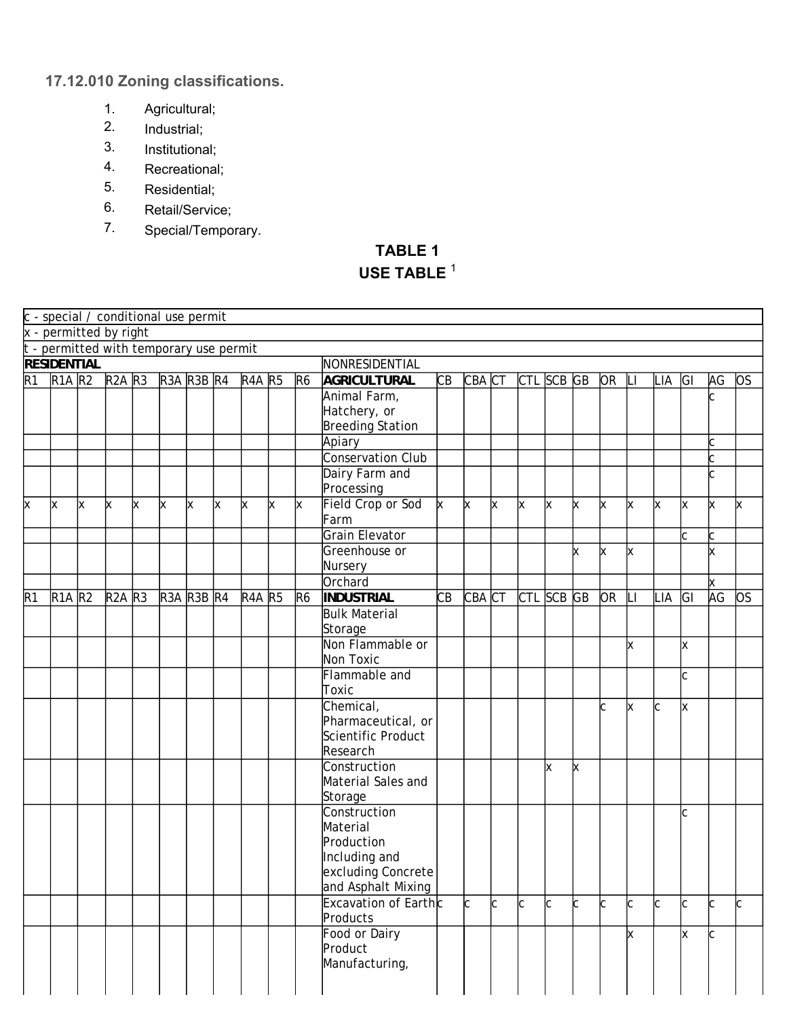## **17.12.010 Zoning classifications.**

- 1. Agricultural;
- 2. Industrial;
- 3. Institutional;
- 4. Recreational;
- 5. Residential;
- 6. Retail/Service;
- 7. Special/Temporary.

## **TABLE 1 USE TABLE** <sup>1</sup>

|                 | c - special / conditional use permit    |   |               |          |                  |                                |   |                  |    |                |                               |              |            |    |            |        |   |           |              |     |          |    |           |
|-----------------|-----------------------------------------|---|---------------|----------|------------------|--------------------------------|---|------------------|----|----------------|-------------------------------|--------------|------------|----|------------|--------|---|-----------|--------------|-----|----------|----|-----------|
|                 | x - permitted by right                  |   |               |          |                  |                                |   |                  |    |                |                               |              |            |    |            |        |   |           |              |     |          |    |           |
|                 | t - permitted with temporary use permit |   |               |          |                  |                                |   |                  |    |                |                               |              |            |    |            |        |   |           |              |     |          |    |           |
|                 | <b>RESIDENTIAL</b>                      |   |               |          |                  |                                |   |                  |    |                | NONRESIDENTIAL                |              |            |    |            |        |   |           |              |     |          |    |           |
| $\overline{R1}$ | $\overline{R1A}R2$                      |   | <b>R2A R3</b> |          | R3A R3B R4       |                                |   | <b>R4A R5</b>    |    | R <sub>6</sub> | <b>AGRICULTURAL</b>           | CB           | CBA CT     |    | CTL SCB GB |        |   | OR        | $\mathsf{L}$ | LIA | GI       | AG | <b>OS</b> |
|                 |                                         |   |               |          |                  |                                |   |                  |    |                | Animal Farm,                  |              |            |    |            |        |   |           |              |     |          | C  |           |
|                 |                                         |   |               |          |                  |                                |   |                  |    |                | Hatchery, or                  |              |            |    |            |        |   |           |              |     |          |    |           |
|                 |                                         |   |               |          |                  |                                |   |                  |    |                | <b>Breeding Station</b>       |              |            |    |            |        |   |           |              |     |          |    |           |
|                 |                                         |   |               |          |                  |                                |   |                  |    |                | Apiary                        |              |            |    |            |        |   |           |              |     |          |    |           |
|                 |                                         |   |               |          |                  |                                |   |                  |    |                | <b>Conservation Club</b>      |              |            |    |            |        |   |           |              |     |          |    |           |
|                 |                                         |   |               |          |                  |                                |   |                  |    |                | Dairy Farm and                |              |            |    |            |        |   |           |              |     |          | C  |           |
|                 |                                         |   |               |          |                  |                                |   |                  |    |                | Processing                    |              |            |    |            |        |   |           |              |     |          |    |           |
| x               | x                                       | x | x             | $\times$ | x                | x                              | x | X                | lх | x              | Field Crop or Sod             | $\mathsf{x}$ | X          | X  | x          | x      | X | x         | X            | x   | <b>x</b> | X  | x         |
|                 |                                         |   |               |          |                  |                                |   |                  |    |                | Farm<br><b>Grain Elevator</b> |              |            |    |            |        |   |           |              |     |          |    |           |
|                 |                                         |   |               |          |                  |                                |   |                  |    |                | Greenhouse or                 |              |            |    |            |        |   |           |              |     |          |    |           |
|                 |                                         |   |               |          |                  |                                |   |                  |    |                | Nursery                       |              |            |    |            |        | x | x         | x            |     |          | X  |           |
|                 |                                         |   |               |          |                  |                                |   |                  |    |                | Orchard                       |              |            |    |            |        |   |           |              |     |          | x  |           |
| R <sub>1</sub>  | $R1A$ $R2$                              |   | <b>R2A R3</b> |          | R <sub>3</sub> A | R <sub>3</sub> B <sub>R4</sub> |   | R <sub>4</sub> A | R5 | R <sub>6</sub> | <b>INDUSTRIAL</b>             | CB           | $CBA$ $CT$ |    | <b>CTL</b> | SCB GB |   | <b>OR</b> | LГ           | LIA | GI       | AG | <b>OS</b> |
|                 |                                         |   |               |          |                  |                                |   |                  |    |                | <b>Bulk Material</b>          |              |            |    |            |        |   |           |              |     |          |    |           |
|                 |                                         |   |               |          |                  |                                |   |                  |    |                | Storage                       |              |            |    |            |        |   |           |              |     |          |    |           |
|                 |                                         |   |               |          |                  |                                |   |                  |    |                | Non Flammable or              |              |            |    |            |        |   |           | X            |     | x        |    |           |
|                 |                                         |   |               |          |                  |                                |   |                  |    |                | Non Toxic                     |              |            |    |            |        |   |           |              |     |          |    |           |
|                 |                                         |   |               |          |                  |                                |   |                  |    |                | Flammable and                 |              |            |    |            |        |   |           |              |     | C        |    |           |
|                 |                                         |   |               |          |                  |                                |   |                  |    |                | Toxic                         |              |            |    |            |        |   |           |              |     |          |    |           |
|                 |                                         |   |               |          |                  |                                |   |                  |    |                | Chemical,                     |              |            |    |            |        |   | C         | x            | lC. | X        |    |           |
|                 |                                         |   |               |          |                  |                                |   |                  |    |                | Pharmaceutical, or            |              |            |    |            |        |   |           |              |     |          |    |           |
|                 |                                         |   |               |          |                  |                                |   |                  |    |                | Scientific Product            |              |            |    |            |        |   |           |              |     |          |    |           |
|                 |                                         |   |               |          |                  |                                |   |                  |    |                | Research<br>Construction      |              |            |    |            |        |   |           |              |     |          |    |           |
|                 |                                         |   |               |          |                  |                                |   |                  |    |                | Material Sales and            |              |            |    |            | Ιx     | X |           |              |     |          |    |           |
|                 |                                         |   |               |          |                  |                                |   |                  |    |                | Storage                       |              |            |    |            |        |   |           |              |     |          |    |           |
|                 |                                         |   |               |          |                  |                                |   |                  |    |                | Construction                  |              |            |    |            |        |   |           |              |     | C        |    |           |
|                 |                                         |   |               |          |                  |                                |   |                  |    |                | Material                      |              |            |    |            |        |   |           |              |     |          |    |           |
|                 |                                         |   |               |          |                  |                                |   |                  |    |                | Production                    |              |            |    |            |        |   |           |              |     |          |    |           |
|                 |                                         |   |               |          |                  |                                |   |                  |    |                | Including and                 |              |            |    |            |        |   |           |              |     |          |    |           |
|                 |                                         |   |               |          |                  |                                |   |                  |    |                | excluding Concrete            |              |            |    |            |        |   |           |              |     |          |    |           |
|                 |                                         |   |               |          |                  |                                |   |                  |    |                | and AsphaIt Mixing            |              |            |    |            |        |   |           |              |     |          |    |           |
|                 |                                         |   |               |          |                  |                                |   |                  |    |                | Excavation of Earthc          |              | C          | C. | C          | C      | C | C         | C            | lc. | C        | C. | C         |
|                 |                                         |   |               |          |                  |                                |   |                  |    |                | Products                      |              |            |    |            |        |   |           |              |     |          |    |           |
|                 |                                         |   |               |          |                  |                                |   |                  |    |                | Food or Dairy                 |              |            |    |            |        |   |           | X            |     | x        | C  |           |
|                 |                                         |   |               |          |                  |                                |   |                  |    |                | Product                       |              |            |    |            |        |   |           |              |     |          |    |           |
|                 |                                         |   |               |          |                  |                                |   |                  |    |                | Manufacturing,                |              |            |    |            |        |   |           |              |     |          |    |           |
|                 |                                         |   |               |          |                  |                                |   |                  |    |                |                               |              |            |    |            |        |   |           |              |     |          |    |           |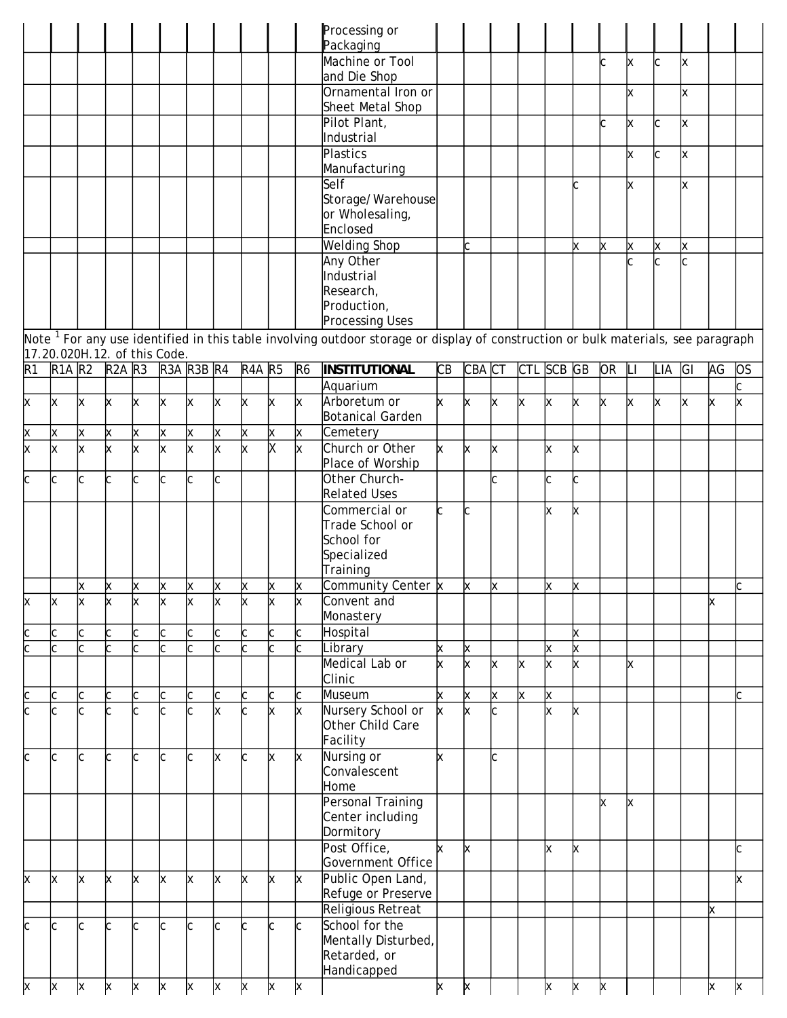|                   |                              |              |            |    |            |                         |              |                                |    |                | Processing or<br>Packaging                                                                                                           |              |        |   |              |              |   |           |   |                         |    |    |           |
|-------------------|------------------------------|--------------|------------|----|------------|-------------------------|--------------|--------------------------------|----|----------------|--------------------------------------------------------------------------------------------------------------------------------------|--------------|--------|---|--------------|--------------|---|-----------|---|-------------------------|----|----|-----------|
|                   |                              |              |            |    |            |                         |              |                                |    |                | Machine or Tool<br>and Die Shop                                                                                                      |              |        |   |              |              |   | C         | X | $\overline{\mathsf{C}}$ | X  |    |           |
|                   |                              |              |            |    |            |                         |              |                                |    |                | Ornamental Iron or<br>Sheet Metal Shop                                                                                               |              |        |   |              |              |   |           | x |                         | X  |    |           |
|                   |                              |              |            |    |            |                         |              |                                |    |                | Pilot Plant,<br>Industrial                                                                                                           |              |        |   |              |              |   | C         | X | C                       | X  |    |           |
|                   |                              |              |            |    |            |                         |              |                                |    |                | Plastics<br>Manufacturing                                                                                                            |              |        |   |              |              |   |           | X | C                       | X  |    |           |
|                   |                              |              |            |    |            |                         |              |                                |    |                | Self<br>Storage/Warehouse                                                                                                            |              |        |   |              |              | C |           | x |                         | x  |    |           |
|                   |                              |              |            |    |            |                         |              |                                |    |                | or Wholesaling,<br>Enclosed                                                                                                          |              |        |   |              |              |   |           |   |                         |    |    |           |
|                   |                              |              |            |    |            |                         |              |                                |    |                | <b>Welding Shop</b>                                                                                                                  |              | C      |   |              |              | X | X         | X | X                       | X  |    |           |
|                   |                              |              |            |    |            |                         |              |                                |    |                | Any Other                                                                                                                            |              |        |   |              |              |   |           |   | C                       |    |    |           |
|                   |                              |              |            |    |            |                         |              |                                |    |                | Industrial                                                                                                                           |              |        |   |              |              |   |           |   |                         |    |    |           |
|                   |                              |              |            |    |            |                         |              |                                |    |                | Research,                                                                                                                            |              |        |   |              |              |   |           |   |                         |    |    |           |
|                   |                              |              |            |    |            |                         |              |                                |    |                | Production,                                                                                                                          |              |        |   |              |              |   |           |   |                         |    |    |           |
|                   |                              |              |            |    |            |                         |              |                                |    |                | <b>Processing Uses</b>                                                                                                               |              |        |   |              |              |   |           |   |                         |    |    |           |
|                   | 17.20.020H.12. of this Code. |              |            |    |            |                         |              |                                |    |                | Note $^1$ For any use identified in this table involving outdoor storage or display of construction or bulk materials, see paragraph |              |        |   |              |              |   |           |   |                         |    |    |           |
| R1                | $R1A$ $R2$                   |              | $R2A$ $R3$ |    | R3A R3B R4 |                         |              | R <sub>4</sub> A <sub>R5</sub> |    | R <sub>6</sub> | INSTITUTIONAL                                                                                                                        | CB           | CBA CT |   | CTL SCB GB   |              |   | <b>OR</b> | Ш | LIA                     | GI | AG | <b>OS</b> |
|                   |                              |              |            |    |            |                         |              |                                |    |                | Aquarium                                                                                                                             |              |        |   |              |              |   |           |   |                         |    |    |           |
| X                 | X                            | X            | X          | X  | X          | X                       | X            | $\times$                       | X  | X              | Arboretum or<br><b>Botanical Garden</b>                                                                                              | $\mathsf{x}$ | X      | X | $\mathsf{x}$ | X            | X | X         | X | X                       | X  | X  | X         |
| X                 | X                            | X            | X          | X  | X          | X                       | X            | X                              | X  | X              | Cemetery                                                                                                                             |              |        |   |              |              |   |           |   |                         |    |    |           |
| x                 | X                            | X            | X          | X  | X          | $\overline{\mathsf{x}}$ | x            | X                              | X  | $\mathsf{x}$   | Church or Other                                                                                                                      | X            | X      | X |              | X            | X |           |   |                         |    |    |           |
| C                 | C                            | C            | C          | C  | C          | C                       | $\mathsf{C}$ |                                |    |                | Place of Worship<br>Other Church-<br><b>Related Uses</b>                                                                             |              |        | C |              | $\mathsf{C}$ | c |           |   |                         |    |    |           |
|                   |                              |              |            |    |            |                         |              |                                |    |                | Commercial or                                                                                                                        | C.           | C      |   |              | x            | X |           |   |                         |    |    |           |
|                   |                              |              |            |    |            |                         |              |                                |    |                | Trade School or                                                                                                                      |              |        |   |              |              |   |           |   |                         |    |    |           |
|                   |                              |              |            |    |            |                         |              |                                |    |                | School for                                                                                                                           |              |        |   |              |              |   |           |   |                         |    |    |           |
|                   |                              |              |            |    |            |                         |              |                                |    |                | Specialized<br>Training                                                                                                              |              |        |   |              |              |   |           |   |                         |    |    |           |
|                   |                              | Χ            | X          | X  | X          | X                       | X            | X                              | X  | X              | Community Center x                                                                                                                   |              | X      | X |              | X            | X |           |   |                         |    |    |           |
| X                 | X                            | X            | x          | х  | X          | х                       | x            | x                              | х  | x              | Convent and                                                                                                                          |              |        |   |              |              |   |           |   |                         |    | х  |           |
|                   |                              |              |            |    |            |                         |              |                                |    |                | Monastery                                                                                                                            |              |        |   |              |              |   |           |   |                         |    |    |           |
| $\mathsf{c}$      | C                            | C            | C.         | C  | C          | C                       | C            | C                              | C  | C              | Hospital                                                                                                                             |              |        |   |              |              | X |           |   |                         |    |    |           |
| C                 | Ċ                            | $\mathsf{C}$ | C.         | C. | C          | C                       | $\mathsf{C}$ | C.                             | C. | C              | Library                                                                                                                              | X            | X      |   |              | X            | X |           |   |                         |    |    |           |
|                   |                              |              |            |    |            |                         |              |                                |    |                | Medical Lab or                                                                                                                       | x            | x      | X | x            | X            | X |           | x |                         |    |    |           |
|                   | C                            | C            | C          | Ċ  | C          | C                       | C            | C                              | C  | C              | Clinic<br>Museum                                                                                                                     | x            | X      | X | $\mathsf{x}$ | X            |   |           |   |                         |    |    |           |
| $\mathsf{C}$<br>C |                              | C            |            |    |            | C                       | X            | C.                             | X  | X              | Nursery School or                                                                                                                    | <b>x</b>     | X      | Ċ |              | $\times$     | x |           |   |                         |    |    |           |
|                   |                              |              |            |    |            |                         |              |                                |    |                | Other Child Care<br>Facility                                                                                                         |              |        |   |              |              |   |           |   |                         |    |    |           |
| C                 | C.                           | C            |            | C  | C          | C                       | Ιx           | C                              | X  | X              | Nursing or                                                                                                                           | x            |        | Ċ |              |              |   |           |   |                         |    |    |           |
|                   |                              |              |            |    |            |                         |              |                                |    |                | Convalescent<br>Home                                                                                                                 |              |        |   |              |              |   |           |   |                         |    |    |           |
|                   |                              |              |            |    |            |                         |              |                                |    |                | Personal Training                                                                                                                    |              |        |   |              |              |   | X         | x |                         |    |    |           |
|                   |                              |              |            |    |            |                         |              |                                |    |                | Center including                                                                                                                     |              |        |   |              |              |   |           |   |                         |    |    |           |
|                   |                              |              |            |    |            |                         |              |                                |    |                | Dormitory                                                                                                                            |              |        |   |              |              |   |           |   |                         |    |    |           |
|                   |                              |              |            |    |            |                         |              |                                |    |                | Post Office,<br>Government Office                                                                                                    | x            | x      |   |              | X            | x |           |   |                         |    |    | C         |
| x                 | Х                            | X            | x          | x  | X          | X                       | X            | X                              | X  | X              | Public Open Land,<br>Refuge or Preserve                                                                                              |              |        |   |              |              |   |           |   |                         |    |    | x         |
|                   |                              |              |            |    |            |                         |              |                                |    |                | Religious Retreat                                                                                                                    |              |        |   |              |              |   |           |   |                         |    | X  |           |
| C                 | C.                           | C            | IC.        | C  | Ċ          | C                       | Ċ            | C                              | C  | C              | School for the                                                                                                                       |              |        |   |              |              |   |           |   |                         |    |    |           |
|                   |                              |              |            |    |            |                         |              |                                |    |                | Mentally Disturbed,                                                                                                                  |              |        |   |              |              |   |           |   |                         |    |    |           |
|                   |                              |              |            |    |            |                         |              |                                |    |                | Retarded, or                                                                                                                         |              |        |   |              |              |   |           |   |                         |    |    |           |
|                   |                              |              |            |    |            |                         |              |                                |    |                | Handicapped                                                                                                                          |              |        |   |              |              |   |           |   |                         |    |    |           |
| X                 | X                            | X            | x          | X  | X          | X                       | X            | X                              | X  | X              |                                                                                                                                      | X            | x      |   |              | X            | X | x         |   |                         |    | x  | x         |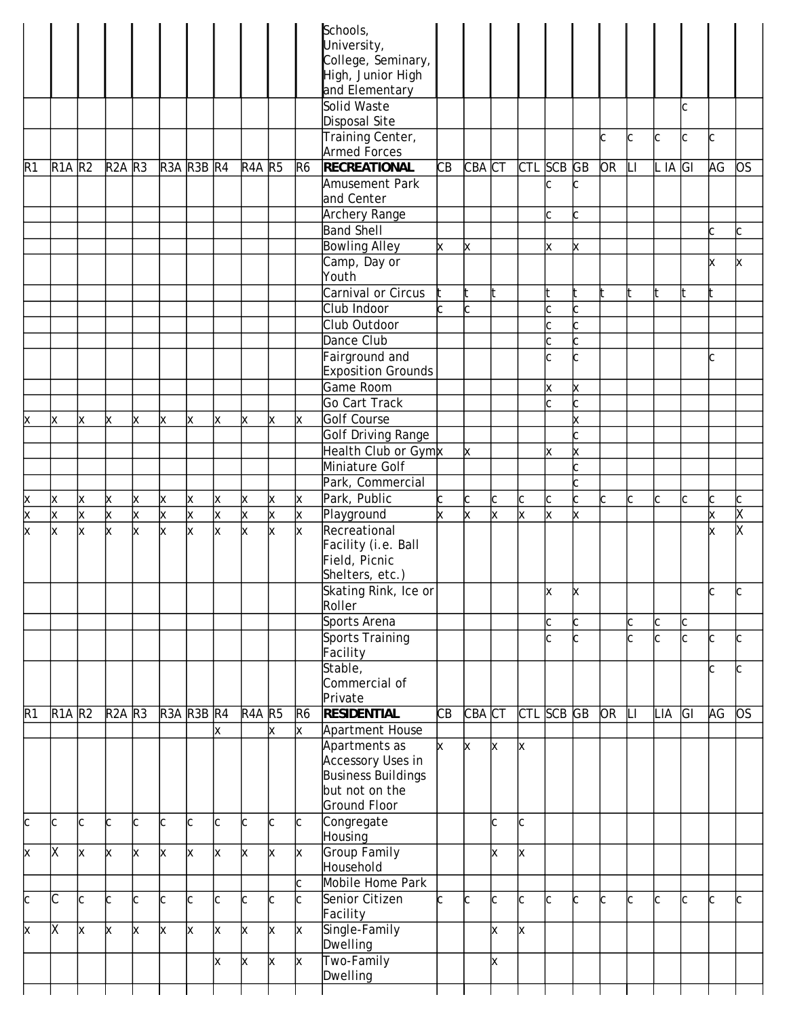|                      |               |   |               |                         |            |                         |    |               |   |                | Schools,<br>University,<br>College, Seminary,<br>High, Junior High |              |        |          |            |        |        |           |    |              |                   |    |               |
|----------------------|---------------|---|---------------|-------------------------|------------|-------------------------|----|---------------|---|----------------|--------------------------------------------------------------------|--------------|--------|----------|------------|--------|--------|-----------|----|--------------|-------------------|----|---------------|
|                      |               |   |               |                         |            |                         |    |               |   |                | and Elementary<br>Solid Waste                                      |              |        |          |            |        |        |           |    |              | C                 |    |               |
|                      |               |   |               |                         |            |                         |    |               |   |                | Disposal Site                                                      |              |        |          |            |        |        |           |    |              |                   |    |               |
|                      |               |   |               |                         |            |                         |    |               |   |                | Training Center,                                                   |              |        |          |            |        |        | C         | c  | C            | C                 | c  |               |
| R <sub>1</sub>       | <b>R1A R2</b> |   | <b>R2A R3</b> |                         | R3A R3B R4 |                         |    | <b>R4A R5</b> |   | R <sub>6</sub> | <b>Armed Forces</b><br><b>RECREATIONAL</b>                         | CB           | CBA CT |          | CTL SCB GB |        |        | <b>OR</b> |    | $L$ IA $ G $ |                   | AG | <b>OS</b>     |
|                      |               |   |               |                         |            |                         |    |               |   |                | Amusement Park                                                     |              |        |          |            | IС     | C      |           |    |              |                   |    |               |
|                      |               |   |               |                         |            |                         |    |               |   |                | and Center<br>Archery Range                                        |              |        |          |            | Іс     |        |           |    |              |                   |    |               |
|                      |               |   |               |                         |            |                         |    |               |   |                | <b>Band Shell</b>                                                  |              |        |          |            |        |        |           |    |              |                   | Ċ. | C             |
|                      |               |   |               |                         |            |                         |    |               |   |                | <b>Bowling Alley</b>                                               | X            | Χ      |          |            | x      | x      |           |    |              |                   |    |               |
|                      |               |   |               |                         |            |                         |    |               |   |                | Camp, Day or                                                       |              |        |          |            |        |        |           |    |              |                   | x  | X             |
|                      |               |   |               |                         |            |                         |    |               |   |                | Youth<br>Carnival or Circus                                        |              |        | lt.      |            | It     |        | ł.        | It |              |                   |    |               |
|                      |               |   |               |                         |            |                         |    |               |   |                | Club Indoor                                                        | <sub>C</sub> |        |          |            | C      |        |           |    |              |                   |    |               |
|                      |               |   |               |                         |            |                         |    |               |   |                | Club Outdoor                                                       |              |        |          |            | C      |        |           |    |              |                   |    |               |
|                      |               |   |               |                         |            |                         |    |               |   |                | Dance Club                                                         |              |        |          |            | c      |        |           |    |              |                   |    |               |
|                      |               |   |               |                         |            |                         |    |               |   |                | Fairground and<br><b>Exposition Grounds</b>                        |              |        |          |            | C      | Ċ.     |           |    |              |                   | C  |               |
|                      |               |   |               |                         |            |                         |    |               |   |                | Game Room                                                          |              |        |          |            | x      | x      |           |    |              |                   |    |               |
|                      |               |   |               |                         |            |                         |    |               |   |                | Go Cart Track                                                      |              |        |          |            |        |        |           |    |              |                   |    |               |
| X                    | X             | X | х             | x                       | x          | X                       | X. | x             | X | X              | Golf Course                                                        |              |        |          |            |        | x      |           |    |              |                   |    |               |
|                      |               |   |               |                         |            |                         |    |               |   |                | <b>Golf Driving Range</b>                                          |              |        |          |            |        |        |           |    |              |                   |    |               |
|                      |               |   |               |                         |            |                         |    |               |   |                | Health Club or Gymx<br>Miniature Golf                              |              | x      |          |            | x      | X      |           |    |              |                   |    |               |
|                      |               |   |               |                         |            |                         |    |               |   |                | Park, Commercial                                                   |              |        |          |            |        |        |           |    |              |                   |    |               |
| X                    | х             | x | х             | Χ                       | X          | X                       | X  | X             | X | x              | Park, Public                                                       | C            | C      | C        | C          | C      | C      | C         | C  | C            | C                 |    | С             |
| $\times$<br>$\times$ | X             | X | X             | $\overline{\mathsf{x}}$ | x          | X                       | X  | x             | x | X              | Playground                                                         | x            | X      | $\times$ | x          | X      | X.     |           |    |              |                   | X  | χ<br>$\times$ |
|                      | x             | x | x             | x                       | x          | $\overline{\mathsf{x}}$ | x  | x             | x | x              | Recreational<br>Facility (i.e. Ball<br>Field, Picnic               |              |        |          |            |        |        |           |    |              |                   | x  |               |
|                      |               |   |               |                         |            |                         |    |               |   |                | Shelters, etc.)<br>Skating Rink, Ice or                            |              |        |          |            | X      | x      |           |    |              |                   | C  | C             |
|                      |               |   |               |                         |            |                         |    |               |   |                | Roller                                                             |              |        |          |            |        |        |           |    |              |                   |    |               |
|                      |               |   |               |                         |            |                         |    |               |   |                | Sports Arena<br><b>Sports Training</b>                             |              |        |          |            | C<br>c | С<br>c |           | C  | C<br>C       | С<br>$\mathsf{C}$ |    | Ċ             |
|                      |               |   |               |                         |            |                         |    |               |   |                | Facility                                                           |              |        |          |            |        |        |           |    |              |                   | C  |               |
|                      |               |   |               |                         |            |                         |    |               |   |                | Stable,<br>Commercial of                                           |              |        |          |            |        |        |           |    |              |                   | C  | C             |
|                      |               |   |               |                         |            |                         |    |               |   |                | Private                                                            |              |        |          |            |        |        |           |    |              |                   |    |               |
| R1                   | <b>R1A</b> R2 |   | <b>R2A R3</b> |                         | R3A R3B R4 |                         |    | <b>R4A R5</b> |   | R <sub>6</sub> | <b>RESIDENTIAL</b>                                                 | CВ           | CBA CT |          | CTL SCB GB |        |        | <b>OR</b> |    | LIA          | GI                | AG | <b>OS</b>     |
|                      |               |   |               |                         |            |                         | lх |               | X | $\mathsf{x}$   | Apartment House<br>Apartments as                                   | x            | x      | x        | X          |        |        |           |    |              |                   |    |               |
|                      |               |   |               |                         |            |                         |    |               |   |                | Accessory Uses in<br><b>Business Buildings</b>                     |              |        |          |            |        |        |           |    |              |                   |    |               |
|                      |               |   |               |                         |            |                         |    |               |   |                | but not on the<br><b>Ground Floor</b>                              |              |        |          |            |        |        |           |    |              |                   |    |               |
| C                    | C             | C |               | C                       | C          | C                       | C  | C             | C | C              | Congregate                                                         |              |        | C        | C          |        |        |           |    |              |                   |    |               |
|                      |               |   |               |                         |            |                         |    |               |   |                | Housing                                                            |              |        |          |            |        |        |           |    |              |                   |    |               |
| X                    | X             | X | х             | X                       | x          | X                       | X  | X             | x | X              | Group Family<br>Household                                          |              |        | x        | X          |        |        |           |    |              |                   |    |               |
| C                    | C             | C |               | Ć                       | C          | C                       | C  |               | C | C<br>C         | Mobile Home Park<br>Senior Citizen                                 |              | C      | C        | C          | C      | C      | C         | C  | C            | C                 | C  | Ċ             |
| X                    | X             | X | x             | X                       | x          | X                       | X  | X             | X | X              | Facility<br>Single-Family                                          |              |        | X        | x          |        |        |           |    |              |                   |    |               |
|                      |               |   |               |                         |            |                         |    |               |   |                | Dwelling                                                           |              |        |          |            |        |        |           |    |              |                   |    |               |
|                      |               |   |               |                         |            |                         | X  | X             | x | X              | Two-Family<br>Dwelling                                             |              |        | X        |            |        |        |           |    |              |                   |    |               |
|                      |               |   |               |                         |            |                         |    |               |   |                |                                                                    |              |        |          |            |        |        |           |    |              |                   |    |               |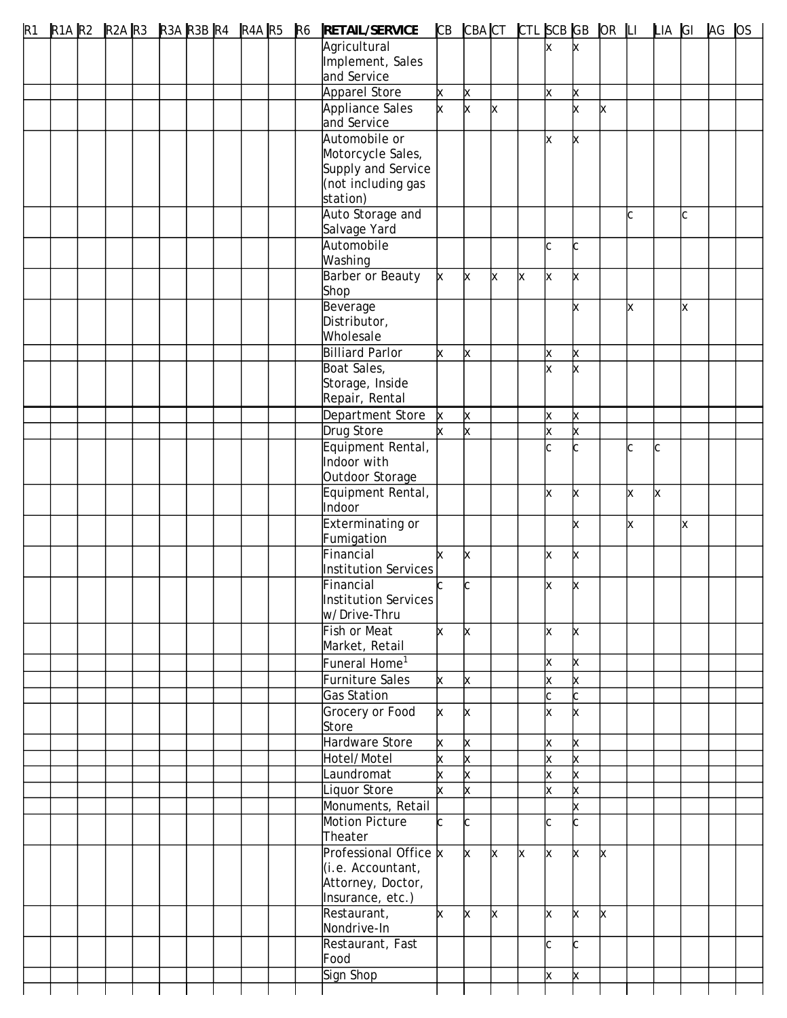| R1 |  |  |  |  |  | R1A R2 R2A R3 R3A R3B R4 R4A R5 R6 RETAIL/SERVICE |          |                         |              | CB CBACT CTL SCB GB OR LI LIA GI |              |        |   |   |    |              | AG OS |  |
|----|--|--|--|--|--|---------------------------------------------------|----------|-------------------------|--------------|----------------------------------|--------------|--------|---|---|----|--------------|-------|--|
|    |  |  |  |  |  | Agricultural                                      |          |                         |              |                                  | x            |        |   |   |    |              |       |  |
|    |  |  |  |  |  | Implement, Sales                                  |          |                         |              |                                  |              |        |   |   |    |              |       |  |
|    |  |  |  |  |  | and Service                                       |          |                         |              |                                  |              |        |   |   |    |              |       |  |
|    |  |  |  |  |  | Apparel Store                                     | X        | $\times$                |              |                                  | X            | x      |   |   |    |              |       |  |
|    |  |  |  |  |  | Appliance Sales                                   | X        | $\times$                | X            |                                  |              | x      | X |   |    |              |       |  |
|    |  |  |  |  |  | and Service<br>Automobile or                      |          |                         |              |                                  |              |        |   |   |    |              |       |  |
|    |  |  |  |  |  | Motorcycle Sales,                                 |          |                         |              |                                  | x            | X      |   |   |    |              |       |  |
|    |  |  |  |  |  | Supply and Service                                |          |                         |              |                                  |              |        |   |   |    |              |       |  |
|    |  |  |  |  |  | (not including gas                                |          |                         |              |                                  |              |        |   |   |    |              |       |  |
|    |  |  |  |  |  | station)                                          |          |                         |              |                                  |              |        |   |   |    |              |       |  |
|    |  |  |  |  |  | Auto Storage and                                  |          |                         |              |                                  |              |        |   | C |    | $\mathsf{C}$ |       |  |
|    |  |  |  |  |  | Salvage Yard                                      |          |                         |              |                                  |              |        |   |   |    |              |       |  |
|    |  |  |  |  |  | Automobile                                        |          |                         |              |                                  | $\mathsf{C}$ | C      |   |   |    |              |       |  |
|    |  |  |  |  |  | Washing                                           |          |                         |              |                                  |              |        |   |   |    |              |       |  |
|    |  |  |  |  |  | Barber or Beauty                                  | <b>x</b> | X                       | X            | X                                | X            | X      |   |   |    |              |       |  |
|    |  |  |  |  |  | Shop                                              |          |                         |              |                                  |              |        |   |   |    |              |       |  |
|    |  |  |  |  |  | Beverage                                          |          |                         |              |                                  |              |        |   | X |    | X            |       |  |
|    |  |  |  |  |  | Distributor,                                      |          |                         |              |                                  |              |        |   |   |    |              |       |  |
|    |  |  |  |  |  | Wholesale                                         |          |                         |              |                                  |              |        |   |   |    |              |       |  |
|    |  |  |  |  |  | <b>Billiard Parlor</b>                            | X        | X                       |              |                                  | X            | X      |   |   |    |              |       |  |
|    |  |  |  |  |  | Boat Sales,                                       |          |                         |              |                                  | X            |        |   |   |    |              |       |  |
|    |  |  |  |  |  | Storage, Inside<br>Repair, Rental                 |          |                         |              |                                  |              |        |   |   |    |              |       |  |
|    |  |  |  |  |  | Department Store                                  |          | X                       |              |                                  | x            |        |   |   |    |              |       |  |
|    |  |  |  |  |  | Drug Store                                        |          |                         |              |                                  | X            | X<br>X |   |   |    |              |       |  |
|    |  |  |  |  |  | Equipment Rental,                                 |          | X                       |              |                                  | C            |        |   | C | Іс |              |       |  |
|    |  |  |  |  |  | Indoor with                                       |          |                         |              |                                  |              |        |   |   |    |              |       |  |
|    |  |  |  |  |  | Outdoor Storage                                   |          |                         |              |                                  |              |        |   |   |    |              |       |  |
|    |  |  |  |  |  | Equipment Rental,                                 |          |                         |              |                                  | x            | X      |   | X | X  |              |       |  |
|    |  |  |  |  |  | Indoor                                            |          |                         |              |                                  |              |        |   |   |    |              |       |  |
|    |  |  |  |  |  | <b>Exterminating or</b>                           |          |                         |              |                                  |              | x      |   | X |    | X            |       |  |
|    |  |  |  |  |  | Fumigation                                        |          |                         |              |                                  |              |        |   |   |    |              |       |  |
|    |  |  |  |  |  | Financial                                         | x        | X                       |              |                                  | X            | X      |   |   |    |              |       |  |
|    |  |  |  |  |  | Institution Services                              |          |                         |              |                                  |              |        |   |   |    |              |       |  |
|    |  |  |  |  |  | Financial                                         | C.       | C                       |              |                                  | x            | X      |   |   |    |              |       |  |
|    |  |  |  |  |  | Institution Services                              |          |                         |              |                                  |              |        |   |   |    |              |       |  |
|    |  |  |  |  |  | w/Drive-Thru                                      |          |                         |              |                                  |              |        |   |   |    |              |       |  |
|    |  |  |  |  |  | <b>Fish or Meat</b>                               | x        | X                       |              |                                  | x            | x      |   |   |    |              |       |  |
|    |  |  |  |  |  | Market, Retail                                    |          |                         |              |                                  |              |        |   |   |    |              |       |  |
|    |  |  |  |  |  | Funeral Home <sup>1</sup>                         |          |                         |              |                                  | x            | X      |   |   |    |              |       |  |
|    |  |  |  |  |  | Furniture Sales                                   | ×.       | X                       |              |                                  | X            | x      |   |   |    |              |       |  |
|    |  |  |  |  |  | Gas Station                                       |          |                         |              |                                  | C            | C.     |   |   |    |              |       |  |
|    |  |  |  |  |  | Grocery or Food                                   | x        | X                       |              |                                  | x            | x      |   |   |    |              |       |  |
|    |  |  |  |  |  | Store<br>Hardware Store                           |          |                         |              |                                  |              |        |   |   |    |              |       |  |
|    |  |  |  |  |  |                                                   | X        | X                       |              |                                  | X            | X      |   |   |    |              |       |  |
|    |  |  |  |  |  | Hotel/Motel                                       | X        | X                       |              |                                  | X            | x      |   |   |    |              |       |  |
|    |  |  |  |  |  | Laundromat                                        | x        | X<br>x                  |              |                                  | X<br>x       | x      |   |   |    |              |       |  |
|    |  |  |  |  |  | Liquor Store<br>Monuments, Retail                 |          |                         |              |                                  |              | x<br>x |   |   |    |              |       |  |
|    |  |  |  |  |  | Motion Picture                                    | C.       | C                       |              |                                  | C            |        |   |   |    |              |       |  |
|    |  |  |  |  |  | Theater                                           |          |                         |              |                                  |              |        |   |   |    |              |       |  |
|    |  |  |  |  |  | Professional Office x                             |          | $\overline{\mathsf{x}}$ | $\mathsf{x}$ | X                                | x            | x      | X |   |    |              |       |  |
|    |  |  |  |  |  | (i.e. Accountant,                                 |          |                         |              |                                  |              |        |   |   |    |              |       |  |
|    |  |  |  |  |  | Attorney, Doctor,                                 |          |                         |              |                                  |              |        |   |   |    |              |       |  |
|    |  |  |  |  |  | Insurance, etc.)                                  |          |                         |              |                                  |              |        |   |   |    |              |       |  |
|    |  |  |  |  |  | Restaurant,                                       | X.       | <b>x</b>                | lx.          |                                  | x            | x      | x |   |    |              |       |  |
|    |  |  |  |  |  | Nondrive-In                                       |          |                         |              |                                  |              |        |   |   |    |              |       |  |
|    |  |  |  |  |  | Restaurant, Fast                                  |          |                         |              |                                  | c            | r.     |   |   |    |              |       |  |
|    |  |  |  |  |  | Food                                              |          |                         |              |                                  |              |        |   |   |    |              |       |  |
|    |  |  |  |  |  | Sign Shop                                         |          |                         |              |                                  | X            |        |   |   |    |              |       |  |
|    |  |  |  |  |  |                                                   |          |                         |              |                                  |              |        |   |   |    |              |       |  |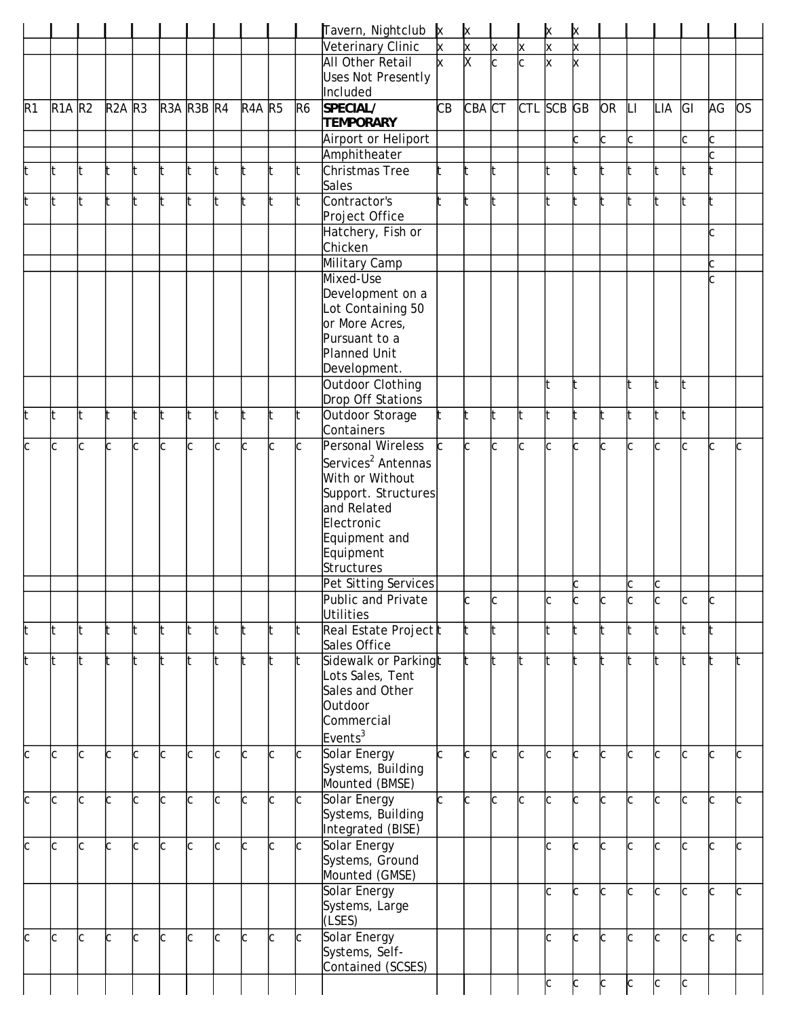|     |                                 |   |               |     |            |                                                                                                |              |               |                                                                                        |                | Tavern, Nightclub x                   |    | ×        |                         |                         | x            | х        |           |              |     |    |    |           |
|-----|---------------------------------|---|---------------|-----|------------|------------------------------------------------------------------------------------------------|--------------|---------------|----------------------------------------------------------------------------------------|----------------|---------------------------------------|----|----------|-------------------------|-------------------------|--------------|----------|-----------|--------------|-----|----|----|-----------|
|     |                                 |   |               |     |            |                                                                                                |              |               |                                                                                        |                | Veterinary Clinic                     | X  | $\times$ | X                       | X                       | X            | $\times$ |           |              |     |    |    |           |
|     |                                 |   |               |     |            |                                                                                                |              |               |                                                                                        |                | All Other Retail                      | k  | X        | $\overline{\mathsf{c}}$ | $\overline{\mathsf{c}}$ | $\times$     | x        |           |              |     |    |    |           |
|     |                                 |   |               |     |            |                                                                                                |              |               |                                                                                        |                | <b>Uses Not Presently</b>             |    |          |                         |                         |              |          |           |              |     |    |    |           |
|     |                                 |   |               |     |            |                                                                                                |              |               |                                                                                        |                | Included                              |    |          |                         |                         |              |          |           |              |     |    |    |           |
| R1  | R <sub>1</sub> A R <sub>2</sub> |   | <b>R2A R3</b> |     | R3A R3B R4 |                                                                                                |              | <b>R4A R5</b> |                                                                                        | R <sub>6</sub> | SPECIAL/                              | CB | CBA CT   |                         | CTL SCB GB              |              |          | <b>OR</b> | $\mathsf{L}$ | LIA | GI | AG | <b>OS</b> |
|     |                                 |   |               |     |            |                                                                                                |              |               |                                                                                        |                | <b>TEMPORARY</b>                      |    |          |                         |                         |              |          |           |              |     |    |    |           |
|     |                                 |   |               |     |            |                                                                                                |              |               |                                                                                        |                | Airport or Heliport                   |    |          |                         |                         |              | Ċ        | C         | C            |     | C. | C  |           |
|     |                                 |   |               |     |            | lt.                                                                                            | lt.          |               | It.                                                                                    | lt.            | Amphitheater<br>Christmas Tree        |    |          | t                       |                         |              |          |           |              |     |    |    |           |
| It. |                                 | t |               |     |            |                                                                                                |              |               |                                                                                        |                | Sales                                 |    | lt.      |                         |                         | lt           |          |           |              | It  |    |    |           |
| lt. | lt.                             | t | lt.           | t   |            | lt.                                                                                            | $\mathsf{t}$ | t             | $\mathsf{t}$                                                                           | t              | Contractor's                          |    | t        | It                      |                         | It           |          |           |              | t   |    |    |           |
|     |                                 |   |               |     |            |                                                                                                |              |               |                                                                                        |                | Project Office                        |    |          |                         |                         |              |          |           |              |     |    |    |           |
|     |                                 |   |               |     |            |                                                                                                |              |               |                                                                                        |                | Hatchery, Fish or                     |    |          |                         |                         |              |          |           |              |     |    | C  |           |
|     |                                 |   |               |     |            |                                                                                                |              |               |                                                                                        |                | Chicken                               |    |          |                         |                         |              |          |           |              |     |    |    |           |
|     |                                 |   |               |     |            |                                                                                                |              |               |                                                                                        |                | Military Camp                         |    |          |                         |                         |              |          |           |              |     |    |    |           |
|     |                                 |   |               |     |            |                                                                                                |              |               |                                                                                        |                | Mixed-Use                             |    |          |                         |                         |              |          |           |              |     |    |    |           |
|     |                                 |   |               |     |            |                                                                                                |              |               |                                                                                        |                | Development on a                      |    |          |                         |                         |              |          |           |              |     |    |    |           |
|     |                                 |   |               |     |            |                                                                                                |              |               |                                                                                        |                | Lot Containing 50                     |    |          |                         |                         |              |          |           |              |     |    |    |           |
|     |                                 |   |               |     |            |                                                                                                |              |               |                                                                                        |                | or More Acres,<br>Pursuant to a       |    |          |                         |                         |              |          |           |              |     |    |    |           |
|     |                                 |   |               |     |            |                                                                                                |              |               |                                                                                        |                | Planned Unit                          |    |          |                         |                         |              |          |           |              |     |    |    |           |
|     |                                 |   |               |     |            |                                                                                                |              |               |                                                                                        |                | Development.                          |    |          |                         |                         |              |          |           |              |     |    |    |           |
|     |                                 |   |               |     |            |                                                                                                |              |               |                                                                                        |                | Outdoor Clothing                      |    |          |                         |                         | lt           |          |           |              | It  |    |    |           |
|     |                                 |   |               |     |            |                                                                                                |              |               |                                                                                        |                | Drop Off Stations                     |    |          |                         |                         |              |          |           |              |     |    |    |           |
| It  |                                 | t |               |     |            | t                                                                                              | lt           |               | lt                                                                                     | lt.            | Outdoor Storage                       |    | lt.      | t                       |                         | It           |          |           |              | t   |    |    |           |
|     |                                 |   |               |     |            |                                                                                                |              |               |                                                                                        |                | Containers                            |    |          |                         |                         |              |          |           |              |     |    |    |           |
| C   |                                 | C |               | C   | Іс         | C                                                                                              | C            | C             | C                                                                                      | C              | Personal Wireless                     |    | C        | C                       | C                       | $\mathsf{C}$ | C        | Ċ         |              | C   | C  |    |           |
|     |                                 |   |               |     |            |                                                                                                |              |               |                                                                                        |                | Services <sup>2</sup> Antennas        |    |          |                         |                         |              |          |           |              |     |    |    |           |
|     |                                 |   |               |     |            |                                                                                                |              |               |                                                                                        |                | With or Without                       |    |          |                         |                         |              |          |           |              |     |    |    |           |
|     |                                 |   |               |     |            |                                                                                                |              |               |                                                                                        |                | Support. Structures<br>and Related    |    |          |                         |                         |              |          |           |              |     |    |    |           |
|     |                                 |   |               |     |            |                                                                                                |              |               |                                                                                        |                | Electronic                            |    |          |                         |                         |              |          |           |              |     |    |    |           |
|     |                                 |   |               |     |            |                                                                                                |              |               |                                                                                        |                | Equipment and                         |    |          |                         |                         |              |          |           |              |     |    |    |           |
|     |                                 |   |               |     |            |                                                                                                |              |               |                                                                                        |                | Equipment                             |    |          |                         |                         |              |          |           |              |     |    |    |           |
|     |                                 |   |               |     |            |                                                                                                |              |               |                                                                                        |                | Structures                            |    |          |                         |                         |              |          |           |              |     |    |    |           |
|     |                                 |   |               |     |            |                                                                                                |              |               |                                                                                        |                | Pet Sitting Services                  |    |          |                         |                         |              |          |           | С            | C   |    |    |           |
|     |                                 |   |               |     |            |                                                                                                |              |               |                                                                                        |                | Public and Private                    |    |          |                         |                         |              |          |           |              |     |    |    |           |
|     |                                 |   |               |     |            |                                                                                                |              |               |                                                                                        |                | Utilities                             |    |          |                         |                         |              |          |           |              |     |    |    |           |
| It  | lt.                             | t |               | lt. |            | t                                                                                              | t            |               | lt                                                                                     | t              | Real Estate Project t<br>Sales Office |    |          |                         |                         | t            |          |           |              | t   |    |    |           |
| t   | lt.                             | t |               |     |            | t                                                                                              | t            |               | lt                                                                                     | t              | Sidewalk or Parkingt                  |    |          | t                       |                         | It           |          |           |              | t   |    |    |           |
|     |                                 |   |               |     |            |                                                                                                |              |               |                                                                                        |                | Lots Sales, Tent                      |    |          |                         |                         |              |          |           |              |     |    |    |           |
|     |                                 |   |               |     |            |                                                                                                |              |               |                                                                                        |                | Sales and Other                       |    |          |                         |                         |              |          |           |              |     |    |    |           |
|     |                                 |   |               |     |            |                                                                                                |              |               |                                                                                        |                | Outdoor                               |    |          |                         |                         |              |          |           |              |     |    |    |           |
|     |                                 |   |               |     |            |                                                                                                |              |               |                                                                                        |                | Commercial                            |    |          |                         |                         |              |          |           |              |     |    |    |           |
|     |                                 |   |               |     |            |                                                                                                |              |               |                                                                                        |                | Events <sup>3</sup>                   |    |          |                         |                         |              |          |           |              |     |    |    |           |
| C   |                                 | C |               | Ć   | Ċ          | C                                                                                              | C            | Ċ             | C                                                                                      | C              | Solar Energy                          |    |          | C                       | C                       | C            | C        | Ċ         |              | C   | C  |    |           |
|     |                                 |   |               |     |            |                                                                                                |              |               |                                                                                        |                | Systems, Building<br>Mounted (BMSE)   |    |          |                         |                         |              |          |           |              |     |    |    |           |
| C   | Ċ                               | C | C             | C   | Ċ          | C                                                                                              | C            | C             | C                                                                                      | C              | Solar Energy                          |    | C        | C                       | Ċ                       | lc           | C        | C         |              | C   | C  | Ċ  |           |
|     |                                 |   |               |     |            |                                                                                                |              |               |                                                                                        |                | Systems, Building                     |    |          |                         |                         |              |          |           |              |     |    |    |           |
|     |                                 |   |               |     |            |                                                                                                |              |               |                                                                                        |                | Integrated (BISE)                     |    |          |                         |                         |              |          |           |              |     |    |    |           |
| C   | C                               | C |               | Ċ   | C.         | C                                                                                              | C            | C             | C                                                                                      | C              | Solar Energy                          |    |          |                         |                         | Ċ            | C        | C         | Ċ.           | C   | C  | Ċ  |           |
|     |                                 |   |               |     |            |                                                                                                |              |               |                                                                                        |                | Systems, Ground                       |    |          |                         |                         |              |          |           |              |     |    |    |           |
|     |                                 |   |               |     |            |                                                                                                |              |               |                                                                                        |                | Mounted (GMSE)                        |    |          |                         |                         |              |          |           |              |     |    |    |           |
|     |                                 |   |               |     |            |                                                                                                |              |               |                                                                                        |                | Solar Energy                          |    |          |                         |                         | Ċ            | C        | C         | C            | C   | C  | C  |           |
|     |                                 |   |               |     |            |                                                                                                |              |               |                                                                                        |                | Systems, Large<br>(LSES)              |    |          |                         |                         |              |          |           |              |     |    |    |           |
| C   | C                               | C | C             | c   | c          | $\mathsf{c}% _{0}\left  \mathbf{1}\right\rangle =\mathsf{c}_{0}\left  \mathbf{1}\right\rangle$ | C            | C             | $\mathsf{c}% _{0}\left  \mathcal{F}_{0}\right  ^{2}\left  \mathcal{F}_{1}\right  ^{2}$ | C              | Solar Energy                          |    |          |                         |                         | lc           | C        | C         | lc.          | C   | C  | Ċ  |           |
|     |                                 |   |               |     |            |                                                                                                |              |               |                                                                                        |                | Systems, Self-                        |    |          |                         |                         |              |          |           |              |     |    |    |           |
|     |                                 |   |               |     |            |                                                                                                |              |               |                                                                                        |                | Contained (SCSES)                     |    |          |                         |                         |              |          |           |              |     |    |    |           |
|     |                                 |   |               |     |            |                                                                                                |              |               |                                                                                        |                |                                       |    |          |                         |                         | C            | C        | C         | C            | C   | C  |    |           |